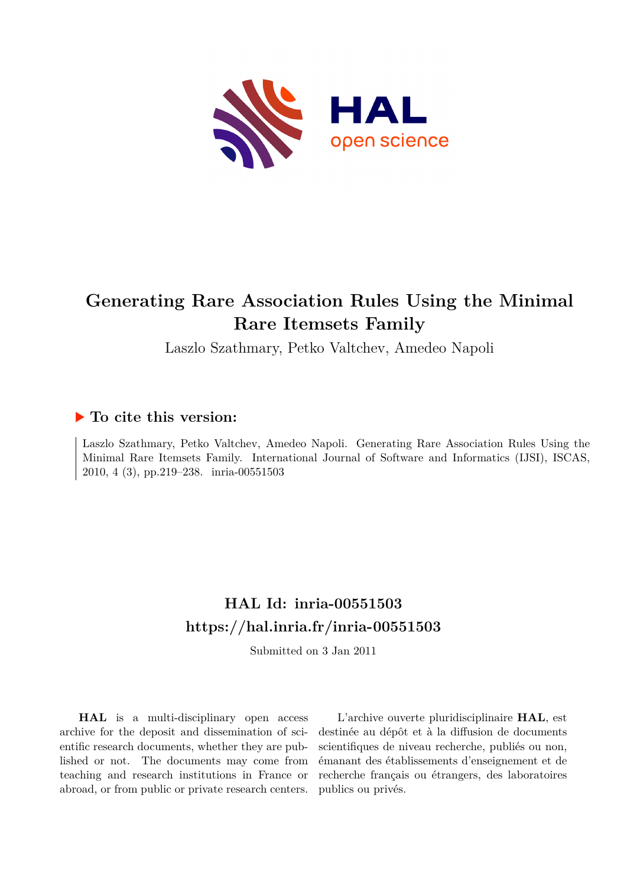

# **Generating Rare Association Rules Using the Minimal Rare Itemsets Family**

Laszlo Szathmary, Petko Valtchev, Amedeo Napoli

## **To cite this version:**

Laszlo Szathmary, Petko Valtchev, Amedeo Napoli. Generating Rare Association Rules Using the Minimal Rare Itemsets Family. International Journal of Software and Informatics (IJSI), ISCAS, 2010, 4 (3), pp.219-238. inria-00551503

# **HAL Id: inria-00551503 <https://hal.inria.fr/inria-00551503>**

Submitted on 3 Jan 2011

**HAL** is a multi-disciplinary open access archive for the deposit and dissemination of scientific research documents, whether they are published or not. The documents may come from teaching and research institutions in France or abroad, or from public or private research centers.

L'archive ouverte pluridisciplinaire **HAL**, est destinée au dépôt et à la diffusion de documents scientifiques de niveau recherche, publiés ou non, émanant des établissements d'enseignement et de recherche français ou étrangers, des laboratoires publics ou privés.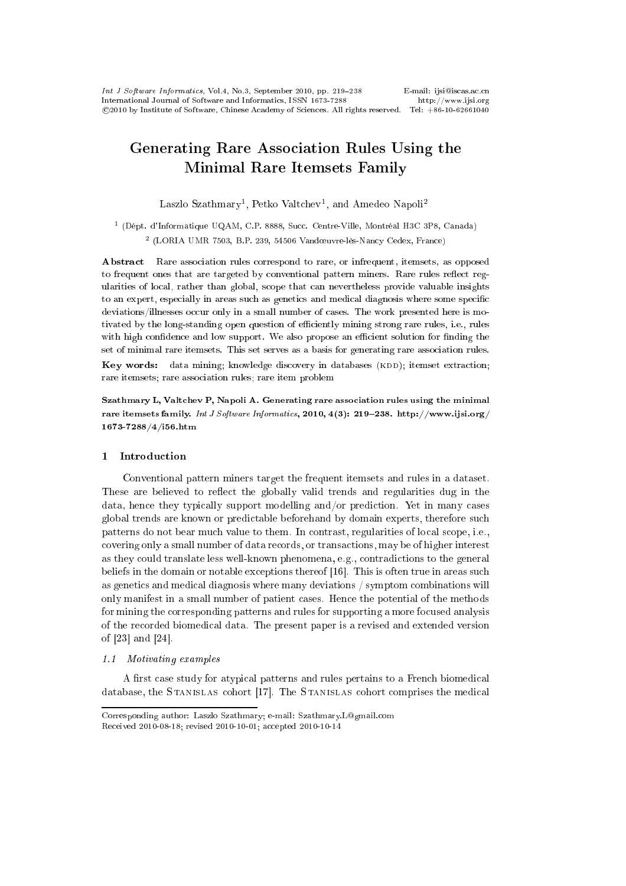## Generating Rare Asso
iation Rules Using the Minimal Rare Itemsets Family

Laszlo Szathmary<sup>1</sup>, Petko Valtchev<sup>1</sup>, and Amedeo Napoli<sup>2</sup>

<sup>1</sup> (Dépt. d'Informatique UQAM, C.P. 8888, Succ. Centre-Ville, Montréal H3C 3P8, Canada)  $^2$  (LORIA UMR 7503, B.P. 239, 54506 Vandœuvre-lès-Nancy Cedex, France)

Abstract Rare association rules correspond to rare, or infrequent, itemsets, as opposed to frequent ones that are targeted by onventional pattern miners. Rare rules ree
t regoperation to an new provide value of low-state values and construction provides inside values, and to an expert, espe
ially in areas su
h as geneti
s and medi
al diagnosis where some spe
i ases. The work presented here is number of the work presented here is most presented here is more than the work tivated by the long-standing open question of e
iently mining strong rare rules, i.e., rules with high commutative and low support. The and propose and the solution for normally the s set of minimal rare itemsets. This set serves as <sup>a</sup> basis for generating rare asso
iation rules.

Key words: data mining; knowledge discovery in databases (KDD); itemset extraction; rare itemsets; rare asso
iation rules; rare item problem

Szathmary L, Valt
hev P, Napoli A. Generating rare asso
iation rules using the minimal rare itemsets family. Int J Software Informatics, 2010, 4(3): 219-238. http://www.ijsi.org/ 1673-7288/4/i56.htm

### 1 Introduction

Conventional pattern miners target the frequent itemsets and rules in a dataset. These are believed to reflect the globally valid trends and regularities dug in the data, hence they typically support modelling and/or prediction. Yet in many cases global trends are known or predictable beforehand by domain experts, therefore such patterns do not bear mu
h value to them. In ontrast, regularities of lo
al s
ope, i.e., overing only a small number of data re
ords, or transa
tions, may be of higher interest as they ould translate less well-known phenomena, e.g., ontradi
tions to the general beliefs in the domain or notable exceptions thereof  $[16]$ . This is often true in areas such as geneti
s and medi
al diagnosis where many deviations / symptom ombinations will only manifest in a small number of patient cases. Hence the potential of the methods for mining the corresponding patterns and rules for supporting a more focused analysis of the re
orded biomedi
al data. The present paper is a revised and extended version of  $[23]$  and  $[24]$ .

### 1.1 Motivating examples

A first case study for atypical patterns and rules pertains to a French biomedical database, the STANISLAS cohort [17]. The STANISLAS cohort comprises the medical

Corresponding author: Laszlo Szathmary; e-mail: Szathmary.L@gmail.com Received 2010-08-18; revised 2010-10-01; accepted 2010-10-14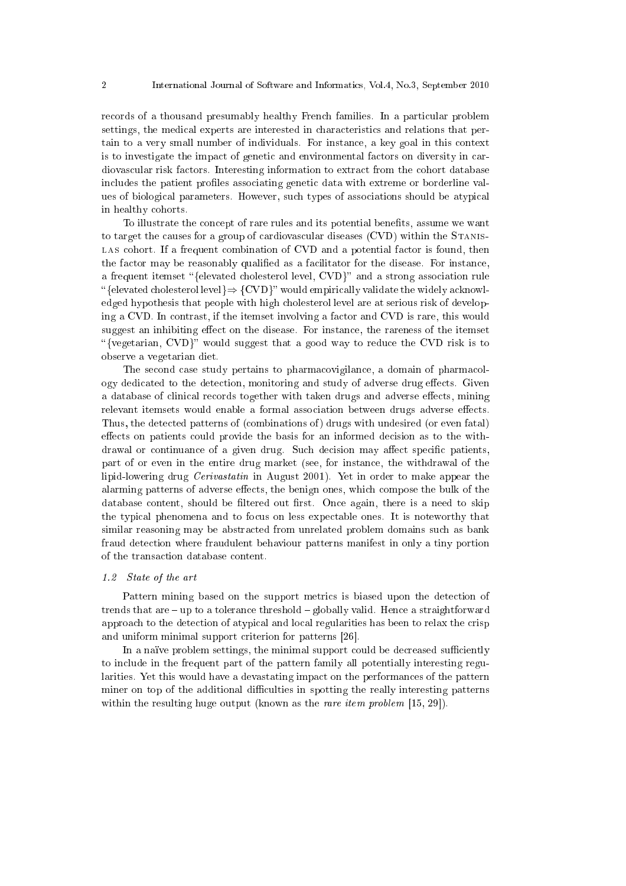records of a thousand presumably healthy French families. In a particular problem settings, the medical experts are interested in characteristics and relations that pertain to a very small number of individuals. For instan
e, a key goal in this ontext is to investigate the impact of genetic and environmental factors on diversity in cardiovascular risk factors. Interesting information to extract from the cohort database includes the patient profiles associating genetic data with extreme or borderline values of biologi
al parameters. However, su
h types of asso
iations should be atypi
al in healthy ohorts.

To illustrate the concept of rare rules and its potential benefits, assume we want to target the causes for a group of cardiovascular diseases (CVD) within the STANIS-LAS cohort. If a frequent combination of CVD and a potential factor is found, then the factor may be reasonably qualified as a facilitator for the disease. For instance, a frequent itemset "{elevated cholesterol level,  $\text{CVD}$ }" and a strong association rule "{elevated cholesterol level}⇒ {CVD}" would empirically validate the widely acknowledged hypothesis that people with high holesterol level are at serious risk of developing a CVD. In ontrast, if the itemset involving a fa
tor and CVD is rare, this would suggest an inhibiting effect on the disease. For instance, the rareness of the itemset "{vegetarian,  $CVD$ }" would suggest that a good way to reduce the CVD risk is to observe a vegetarian diet.

The second case study pertains to pharmacovigilance, a domain of pharmacology dedicated to the detection, monitoring and study of adverse drug effects. Given a database of clinical records together with taken drugs and adverse effects, mining relevant itemsets would enable a formal association between drugs adverse effects. Thus, the dete
ted patterns of (
ombinations of ) drugs with undesired (or even fatal) effects on patients could provide the basis for an informed decision as to the withdrawal or continuance of a given drug. Such decision may affect specific patients, part of or even in the entire drug market (see, for instan
e, the withdrawal of the lipid-lowering drug Cerivastatin in August 2001). Yet in order to make appear the alarming patterns of adverse effects, the benign ones, which compose the bulk of the database content, should be filtered out first. Once again, there is a need to skip the typi
al phenomena and to fo
us on less expe
table ones. It is noteworthy that similar reasoning may be abstracted from unrelated problem domains such as bank fraud dete
tion where fraudulent behaviour patterns manifest in only a tiny portion of the transa
tion database ontent.

### 1.2 State of the art

Pattern mining based on the support metrics is biased upon the detection of trends that are  $-\text{up to a tolerance threshold }-\text{globally valid}$ . Hence a straightforward approach to the detection of atypical and local regularities has been to relax the crisp and uniform minimal support criterion for patterns [26].

In a naïve problem settings, the minimal support could be decreased sufficiently to in
lude in the frequent part of the pattern family all potentially interesting regularities. Yet this would have a devastating impa
t on the performan
es of the pattern miner on top of the additional difficulties in spotting the really interesting patterns within the resulting huge output (known as the *rare item problem*  $[15, 29]$ ).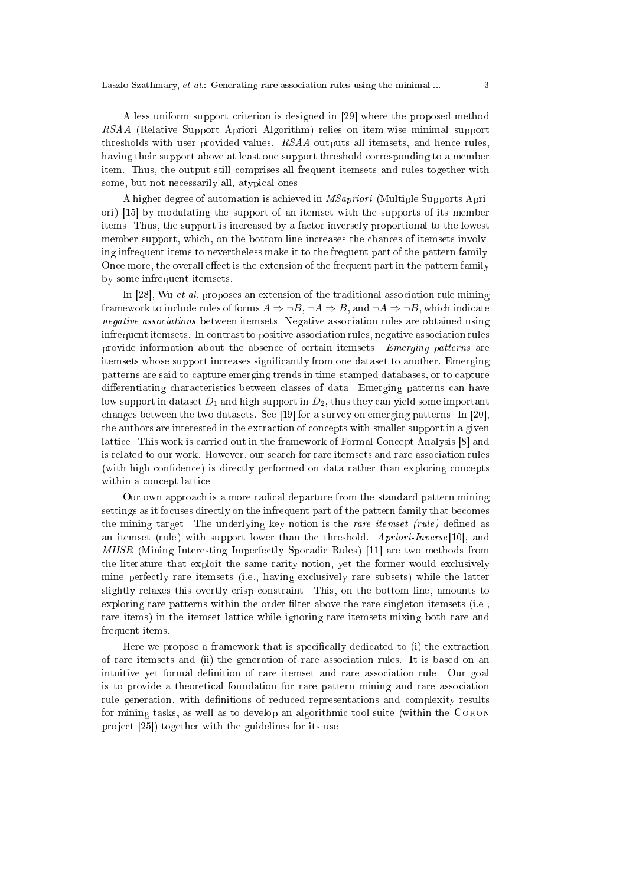A less uniform support criterion is designed in [29] where the proposed method RSAA (Relative Support Apriori Algorithm) relies on item-wise minimal support thresholds with user-provided values. RSAA outputs all itemsets, and hen
e rules, having their support above at least one support threshold orresponding to a member item. Thus, the output still omprises all frequent itemsets and rules together with some, but not ne
essarily all, atypi
al ones.

A higher degree of automation is a
hieved in MSapriori (Multiple Supports Apriori)  $[15]$  by modulating the support of an itemset with the supports of its member items. Thus, the support is in
reased by a fa
tor inversely proportional to the lowest member support, which, on the bottom line increases the chances of itemsets involving infrequent items to nevertheless make it to the frequent part of the pattern family. Once more, the overall effect is the extension of the frequent part in the pattern family by some infrequent itemsets.

In [28], Wu *et al.* proposes an extension of the traditional association rule mining framework to include rules of forms  $A \Rightarrow \neg B$ ,  $\neg A \Rightarrow B$ , and  $\neg A \Rightarrow \neg B$ , which indicate negative associations between itemsets. Negative association rules are obtained using infrequent itemsets. In ontrast to positive asso
iation rules, negative asso
iation rules provide information about the absen
e of ertain itemsets. Emerging patterns are itemsets whose support increases significantly from one dataset to another. Emerging patterns are said to apture emerging trends in time-stamped databases, or to apture differentiating characteristics between classes of data. Emerging patterns can have low support in dataset  $D_1$  and high support in  $D_2$ , thus they can yield some important changes between the two datasets. See  $[19]$  for a survey on emerging patterns. In  $[20]$ , the authors are interested in the extraction of concepts with smaller support in a given lattice. This work is carried out in the framework of Formal Concept Analysis [8] and is related to our work. However, our search for rare itemsets and rare association rules (with high confidence) is directly performed on data rather than exploring concepts within a concept lattice.

Our own approa
h is a more radi
al departure from the standard pattern mining settings as it focuses directly on the infrequent part of the pattern family that becomes the mining target. The underlying key notion is the rare itemset (rule) defined as an itemset (rule) with support lower than the threshold. Apriori-Inverse.[10], and MIISR (Mining Interesting Imperfectly Sporadic Rules) [11] are two methods from the literature that exploit the same rarity notion, yet the former would ex
lusively mine perfe
tly rare itemsets (i.e., having ex
lusively rare subsets) while the latter slightly relaxes this overtly crisp constraint. This, on the bottom line, amounts to exploring rare patterns within the order filter above the rare singleton itemsets (i.e., rare items) in the itemset latti
e while ignoring rare itemsets mixing both rare and frequent items.

Here we propose a framework that is specifically dedicated to (i) the extraction of rare itemsets and (ii) the generation of rare asso
iation rules. It is based on an intuitive yet formal definition of rare itemset and rare association rule. Our goal is to provide a theoretical foundation for rare pattern mining and rare association rule generation, with definitions of reduced representations and complexity results for mining tasks, as well as to develop an algorithmic tool suite (within the CORON project [25]) together with the guidelines for its use.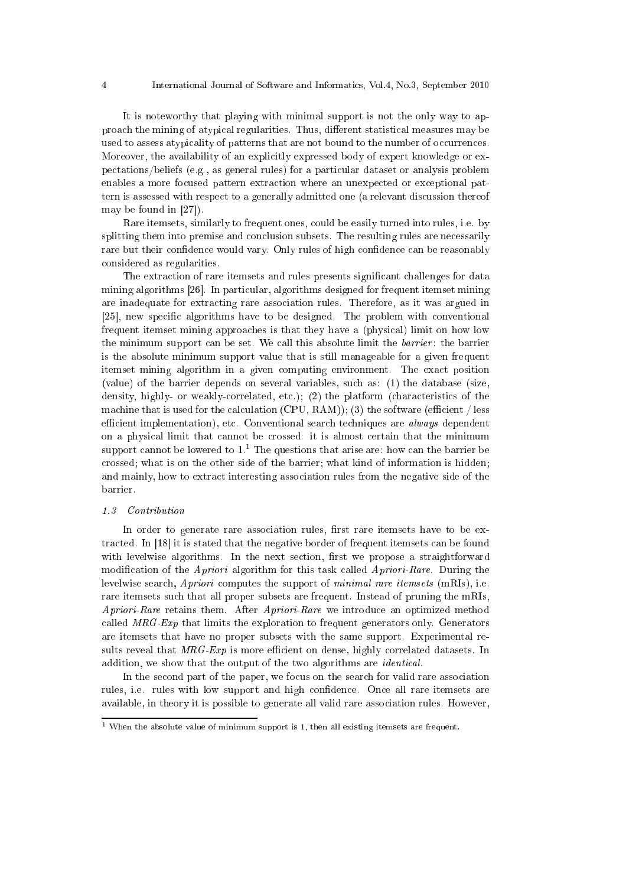It is noteworthy that playing with minimal support is not the only way to approach the mining of atypical regularities. Thus, different statistical measures may be used to assess atypicality of patterns that are not bound to the number of occurrences. Moreover, the availability of an explicitly expressed body of expert knowledge or expe
tations/beliefs (e.g., as general rules) for a parti
ular dataset or analysis problem enables a more focused pattern extraction where an unexpected or exceptional pattern is assessed with respe
t to a generally admitted one (a relevant dis
ussion thereof may be found in  $[27]$ .

Rare itemsets, similarly to frequent ones, could be easily turned into rules, i.e. by splitting them into premise and conclusion subsets. The resulting rules are necessarily rare but their confidence would vary. Only rules of high confidence can be reasonably onsidered as regularities.

The extraction of rare itemsets and rules presents significant challenges for data mining algorithms [26]. In particular, algorithms designed for frequent itemset mining are inadequate for extra
ting rare asso
iation rules. Therefore, as it was argued in [25], new specific algorithms have to be designed. The problem with conventional frequent itemset mining approa
hes is that they have a (physi
al) limit on how low the minimum support can be set. We call this absolute limit the *barrier*: the barrier is the absolute minimum support value that is still manageable for a given frequent itemset mining algorithm in a given omputing environment. The exa
t position (value) of the barrier depends on several variables, su
h as: (1) the database (size, density, highly- or weakly-correlated, etc.); (2) the platform (characteristics of the machine that is used for the calculation  $(CPU, RAM)$ ; (3) the software (efficient / less efficient implementation), etc. Conventional search techniques are *always* dependent on a physi
al limit that annot be rossed: it is almost ertain that the minimum support cannot be lowered to  $1<sup>1</sup>$  The questions that arise are: how can the barrier be crossed; what is on the other side of the barrier; what kind of information is hidden; and mainly, how to extract interesting association rules from the negative side of the barrier.

### 1.3 Contribution

In order to generate rare association rules, first rare itemsets have to be extracted. In [18] it is stated that the negative border of frequent itemsets can be found with levelwise algorithms. In the next section, first we propose a straightforward modification of the *Apriori* algorithm for this task called *Apriori-Rare*. During the levelwise search, *Apriori* computes the support of *minimal rare itemsets* (mRIs), i.e. rare itemsets su
h that all proper subsets are frequent. Instead of pruning the mRIs, Apriori-Rare retains them. After Apriori-Rare we introdu
e an optimized method called  $MRG-Exp$  that limits the exploration to frequent generators only. Generators are itemsets that have no proper subsets with the same support. Experimental results reveal that  $MRG$ -Exp is more efficient on dense, highly correlated datasets. In addition, we show that the output of the two algorithms are *identical*.

In the second part of the paper, we focus on the search for valid rare association rules, *i.e.* rules with low support and high confidence. Once all rare itemsets are available, in theory it is possible to generate all valid rare asso
iation rules. However,

<sup>&</sup>lt;sup>1</sup> When the absolute value of minimum support is 1, then all existing itemsets are frequent.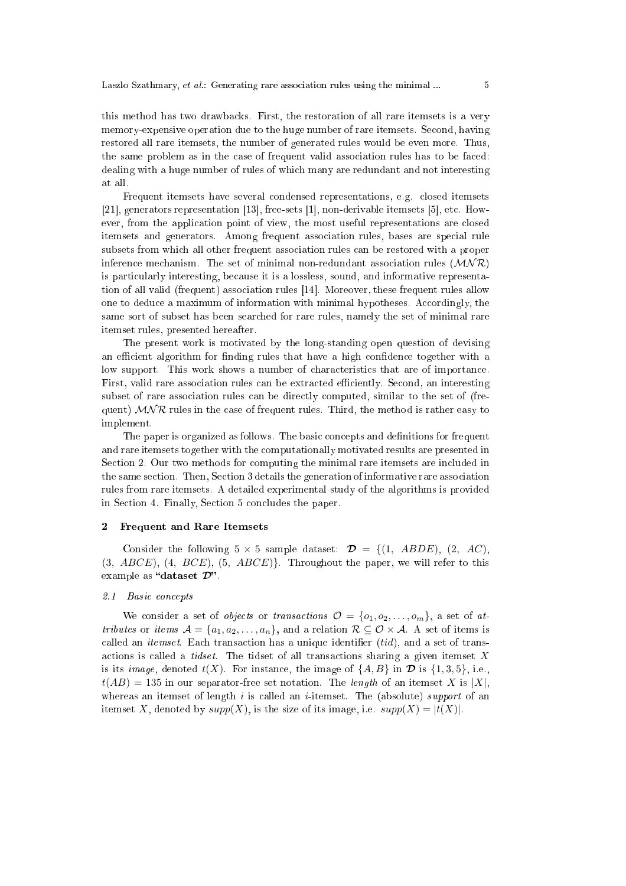this method has two drawba
ks. First, the restoration of all rare itemsets is a very memory-expensive operation due to the huge number of rare itemsets. Second, having restored all rare itemsets, the number of generated rules would be even more. Thus, the same problem as in the ase of frequent valid asso
iation rules has to be fa
ed: dealing with a huge number of rules of whi
h many are redundant and not interesting at all

Frequent itemsets have several condensed representations, e.g. closed itemsets [21], generators representation [13], free-sets [1], non-derivable itemsets [5], etc. However, from the appli
ation point of view, the most useful representations are losed itemsets and generators. Among frequent asso
iation rules, bases are spe
ial rule subsets from whi
h all other frequent asso
iation rules an be restored with a proper inference mechanism. The set of minimal non-redundant association rules  $(\mathcal{M}\mathcal{N}\mathcal{R})$ is parti
ularly interesting, be
ause it is a lossless, sound, and informative representation of all valid (frequent) association rules [14]. Moreover, these frequent rules allow one to deduce a maximum of information with minimal hypotheses. Accordingly, the same sort of subset has been sear
hed for rare rules, namely the set of minimal rare itemset rules, presented hereafter.

The present work is motivated by the long-standing open question of devising an efficient algorithm for finding rules that have a high confidence together with a low support. This work shows a number of characteristics that are of importance. First, valid rare association rules can be extracted efficiently. Second, an interesting subset of rare association rules can be directly computed, similar to the set of (frequent)  $MNR$  rules in the case of frequent rules. Third, the method is rather easy to implement.

The paper is organized as follows. The basic concepts and definitions for frequent and rare itemsets together with the omputationally motivated results are presented in Section 2. Our two methods for computing the minimal rare itemsets are included in the same section. Then, Section 3 details the generation of informative rare association rules from rare itemsets. A detailed experimental study of the algorithms is provided in Se
tion 4. Finally, Se
tion 5 on
ludes the paper.

### 2 Frequent and Rare Itemsets

Consider the following  $5 \times 5$  sample dataset:  $\mathcal{D} = \{(1, ABDE), (2, AC),\}$  $(3, \, ABCE)$ ,  $(4, \, BCE)$ ,  $(5, \, ABCE)$ . Throughout the paper, we will refer to this example as "dataset  $\mathcal{D}$ ".

### 2.1 Basic concepts

We consider a set of *objects* or transactions  $\mathcal{O} = \{o_1, o_2, \ldots, o_m\}$ , a set of attributes or items  $\mathcal{A} = \{a_1, a_2, \ldots, a_n\}$ , and a relation  $\mathcal{R} \subseteq \mathcal{O} \times \mathcal{A}$ . A set of items is called an *itemset*. Each transaction has a unique identifier  $(tid)$ , and a set of transactions is called a *tidset*. The tidset of all transactions sharing a given itemset X is its *image*, denoted  $t(X)$ . For instance, the image of  $\{A, B\}$  in  $\mathcal{D}$  is  $\{1, 3, 5\}$ , i.e.,  $t(AB) = 135$  in our separator-free set notation. The length of an itemset X is |X|, whereas an itemset of length i is called an *i*-itemset. The (absolute) *support* of an itemset X, denoted by  $\text{supp}(X)$ , is the size of its image, i.e.  $\text{supp}(X) = |t(X)|$ .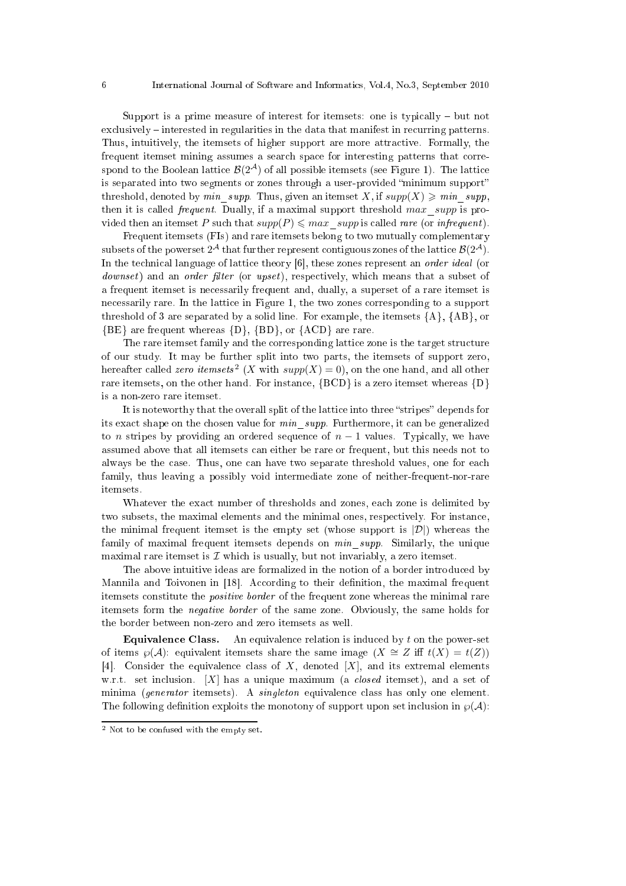Support is a prime measure of interest for itemsets: one is typically  $-$  but not exclusively – interested in regularities in the data that manifest in recurring patterns. Thus, intuitively, the itemsets of higher support are more attra
tive. Formally, the frequent itemset mining assumes a search space for interesting patterns that correspond to the Boolean lattice  $\mathcal{B}(2^{\mathcal{A}})$  of all possible itemsets (see Figure 1). The lattice is separated into two segments or zones through a user-provided "minimum support" threshold, denoted by min\_supp. Thus, given an itemset X, if  $supp(X) \geq min\_supp$ , then it is called *frequent*. Dually, if a maximal support threshold max supp is provided then an itemset P such that  $supp(P) \leq max\_supp$  is called *rare* (or *infrequent*).

Frequent itemsets (FIs) and rare itemsets belong to two mutually complementary subsets of the powerset  $2^\mathcal{A}$  that further represent contiguous zones of the lattice  $\mathcal{B}(2^\mathcal{A}).$ In the technical language of lattice theory [6], these zones represent an *order ideal* (or downset) and an order filter (or upset), respectively, which means that a subset of a frequent itemset is ne
essarily frequent and, dually, a superset of a rare itemset is ne
essarily rare. In the latti
e in Figure 1, the two zones orresponding to a support threshold of 3 are separated by a solid line. For example, the itemsets {A}, {AB}, or {BE} are frequent whereas {D}, {BD}, or {ACD} are rare.

The rare itemset family and the corresponding lattice zone is the target structure of our study. It may be further split into two parts, the itemsets of support zero, hereafter called *zero itemsets*<sup>2</sup> (X with  $supp(X) = 0$ ), on the one hand, and all other rare itemsets, on the other hand. For instance,  ${BCD}$  is a zero itemset whereas  ${D}$ is a non-zero rare itemset.

It is noteworthy that the overall split of the lattice into three "stripes" depends for its exact shape on the chosen value for min supp. Furthermore, it can be generalized to *n* stripes by providing an ordered sequence of  $n - 1$  values. Typically, we have assumed above that all itemsets an either be rare or frequent, but this needs not to always be the case. Thus, one can have two separate threshold values, one for each family, thus leaving a possibly void intermediate zone of neither-frequent-nor-rare itemsets.

Whatever the exact number of thresholds and zones, each zone is delimited by two subsets, the maximal elements and the minimal ones, respectively. For instance, the minimal frequent itemset is the empty set (whose support is  $|\mathcal{D}|$ ) whereas the family of maximal frequent itemsets depends on *min* supp. Similarly, the unique maximal rare itemset is  $\mathcal I$  which is usually, but not invariably, a zero itemset.

The above intuitive ideas are formalized in the notion of a border introduced by Mannila and Toivonen in [18]. According to their definition, the maximal frequent itemsets onstitute the positive border of the frequent zone whereas the minimal rare itemsets form the negative border of the same zone. Obviously, the same holds for the border between non-zero and zero itemsets as well.

**Equivalence Class.** An equivalence relation is induced by  $t$  on the power-set of items  $\wp(\mathcal{A})$ : equivalent itemsets share the same image  $(X \cong Z \text{ iff } t(X) = t(Z))$ [4]. Consider the equivalence class of  $X$ , denoted  $[X]$ , and its extremal elements w.r.t. set inclusion.  $[X]$  has a unique maximum (a *closed* itemset), and a set of minima (*generator* itemsets). A *singleton* equivalence class has only one element. The following definition exploits the monotony of support upon set inclusion in  $\wp(A)$ :

<sup>&</sup>lt;sup>2</sup> Not to be confused with the empty set.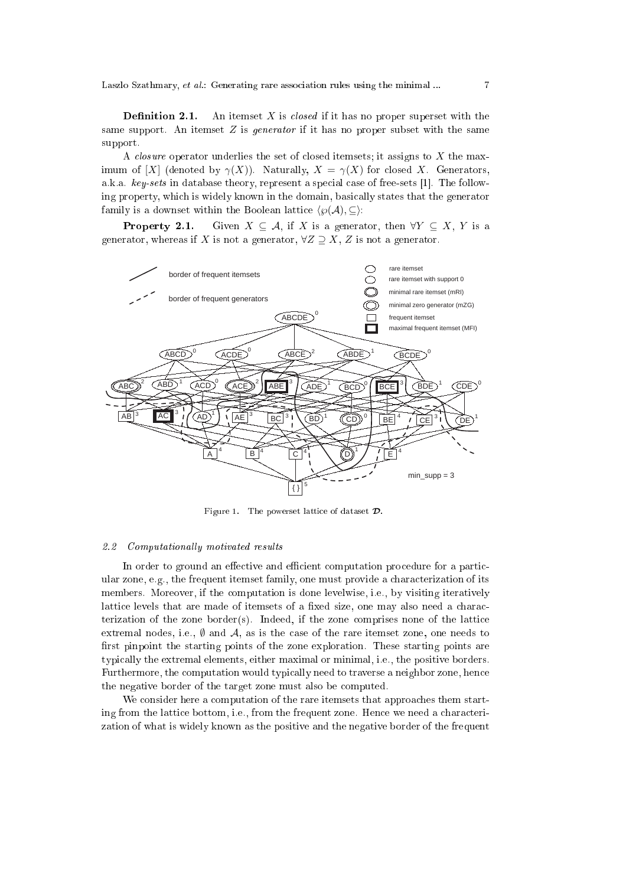**Definition 2.1.** An itemset X is *closed* if it has no proper superset with the same support. An itemset  $Z$  is *generator* if it has no proper subset with the same support.

A *closure* operator underlies the set of closed itemsets; it assigns to  $X$  the maximum of [X] (denoted by  $\gamma(X)$ ). Naturally,  $X = \gamma(X)$  for closed X. Generators, a.k.a.  $key\text{-}sets$  in database theory, represent a special case of free-sets [1]. The following property, whi
h is widely known in the domain, basi
ally states that the generator family is a downset within the Boolean lattice  $\langle \wp(A), \subseteq \rangle$ :

**Property 2.1.** Given  $X \subseteq A$ , if X is a generator, then  $\forall Y \subseteq X$ , Y is a generator, whereas if X is not a generator,  $\forall Z \supseteq X$ , Z is not a generator.



Figure 1. The powerset lattice of dataset  $\mathcal{D}$ .

### $2.2$  Computationally motivated results

In order to ground an effective and efficient computation procedure for a particular zone, e.g., the frequent itemset family, one must provide a characterization of its members. Moreover, if the omputation is done levelwise, i.e., by visiting iteratively lattice levels that are made of itemsets of a fixed size, one may also need a characterization of the zone border(s). Indeed, if the zone comprises none of the lattice extremal nodes, i.e.,  $\emptyset$  and  $\mathcal{A}$ , as is the case of the rare itemset zone, one needs to first pinpoint the starting points of the zone exploration. These starting points are typi
ally the extremal elements, either maximal or minimal, i.e., the positive borders. Furthermore, the computation would typically need to traverse a neighbor zone, hence the negative border of the target zone must also be omputed.

We consider here a computation of the rare itemsets that approaches them starting from the lattice bottom, i.e., from the frequent zone. Hence we need a characterization of what is widely known as the positive and the negative border of the frequent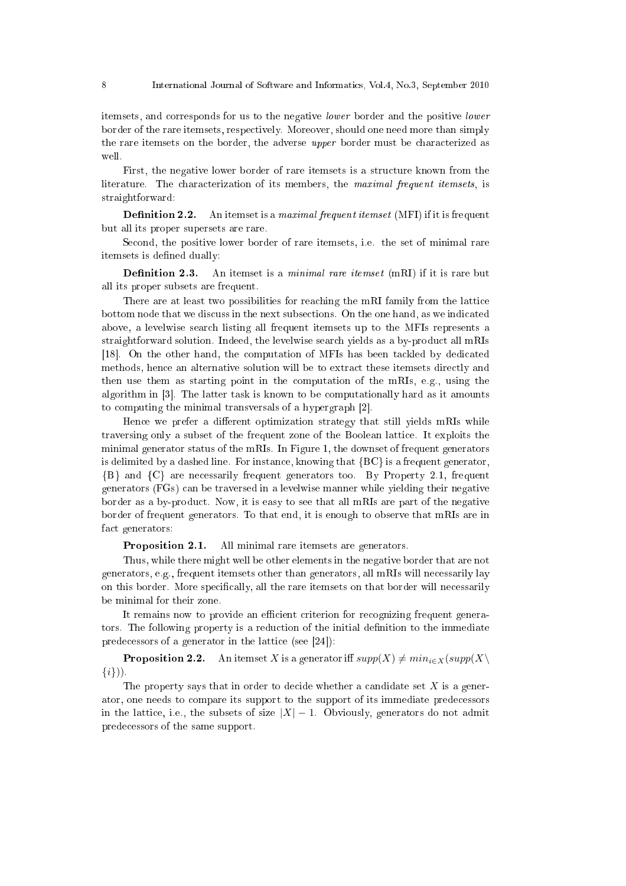itemsets, and orresponds for us to the negative lower border and the positive lower border of the rare itemsets, respe
tively. Moreover, should one need more than simply the rare itemsets on the border, the adverse upper border must be characterized as well.

First, the negative lower border of rare itemsets is a stru
ture known from the literature. The characterization of its members, the maximal frequent itemsets, is straightforward:

**Definition 2.2.** An itemset is a *maximal frequent itemset* (MFI) if it is frequent but all its proper supersets are rare.

Se
ond, the positive lower border of rare itemsets, i.e. the set of minimal rare itemsets is defined dually:

Definition 2.3. An itemset is a *minimal rare itemset*  $(mRI)$  if it is rare but all its proper subsets are frequent.

There are at least two possibilities for reaching the mRI family from the lattice bottom node that we discuss in the next subsections. On the one hand, as we indicated above, a levelwise sear
h listing all frequent itemsets up to the MFIs represents a straightforward solution. Indeed, the levelwise search yields as a by-product all mRIs [18]. On the other hand, the computation of MFIs has been tackled by dedicated methods, hence an alternative solution will be to extract these itemsets directly and then use them as starting point in the omputation of the mRIs, e.g., using the algorithm in  $[3]$ . The latter task is known to be computationally hard as it amounts to computing the minimal transversals of a hypergraph [2].

Hence we prefer a different optimization strategy that still yields mRIs while traversing only a subset of the frequent zone of the Boolean lattice. It exploits the minimal generator status of the mRIs. In Figure 1, the downset of frequent generators is delimited by a dashed line. For instan
e, knowing that {BC} is a frequent generator, {B} and {C} are ne
essarily frequent generators too. By Property 2.1, frequent generators (FGs) an be traversed in a levelwise manner while yielding their negative border as a by-produ
t. Now, it is easy to see that all mRIs are part of the negative border of frequent generators. To that end, it is enough to observe that mRIs are in fact generators:

Proposition 2.1. All minimal rare itemsets are generators.

Thus, while there might well be other elements in the negative border that are not generators, e.g., frequent itemsets other than generators, all mRIs will ne
essarily lay on this border. More specifically, all the rare itemsets on that border will necessarily be minimal for their zone.

It remains now to provide an efficient criterion for recognizing frequent generators. The following property is a reduction of the initial definition to the immediate predecessors of a generator in the lattice (see  $[24]$ ):

**Proposition 2.2.** An itemset X is a generator iff  $supp(X) \neq min_{i \in X}(supp(X)$  $\{i\})$ ).

The property says that in order to decide whether a candidate set  $X$  is a generator, one needs to ompare its support to the support of its immediate prede
essors in the lattice, i.e., the subsets of size  $|X| - 1$ . Obviously, generators do not admit prede
essors of the same support.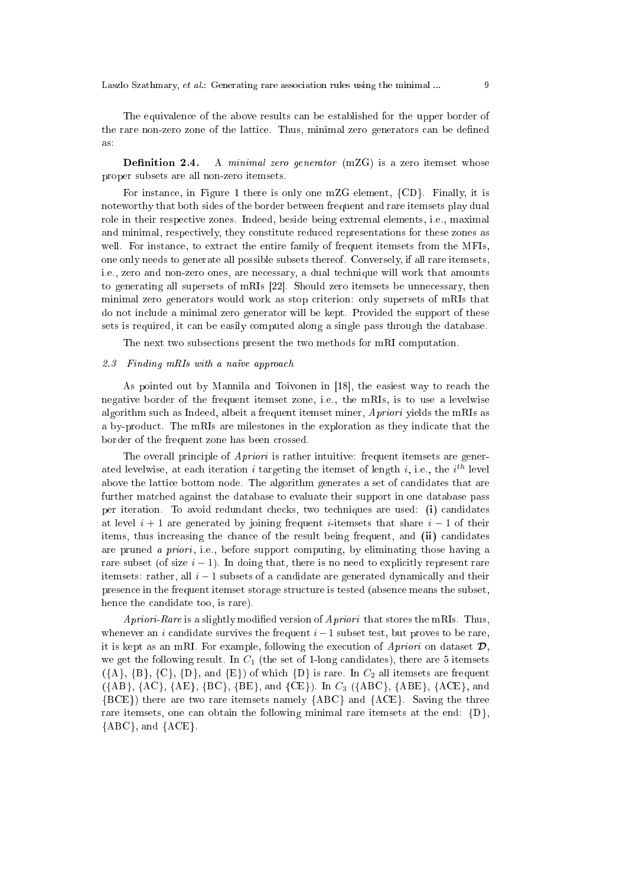The equivalen
e of the above results an be established for the upper border of the rare non-zero zone of the lattice. Thus, minimal zero generators can be defined as:

**Definition 2.4.** A *minimal zero generator*  $(mZG)$  is a zero itemset whose proper subsets are all non-zero itemsets.

For instan
e, in Figure 1 there is only one mZG element, {CD}. Finally, it is noteworthy that both sides of the border between frequent and rare itemsets play dual role in their respe
tive zones. Indeed, beside being extremal elements, i.e., maximal and minimal, respe
tively, they onstitute redu
ed representations for these zones as well. For instance, to extract the entire family of frequent itemsets from the MFIs, one only needs to generate all possible subsets thereof. Conversely, if all rare itemsets, i.e., zero and non-zero ones, are ne
essary, a dual te
hnique will work that amounts to generating all supersets of mRIs  $[22]$ . Should zero itemsets be unnecessary, then minimal zero generators would work as stop riterion: only supersets of mRIs that do not in
lude a minimal zero generator will be kept. Provided the support of these sets is required, it an be easily omputed along a single pass through the database.

The next two subsections present the two methods for mRI computation.

### 2.3 Finding mRIs with a naïve approa
h

As pointed out by Mannila and Toivonen in [18], the easiest way to reach the negative border of the frequent itemset zone, i.e., the mRIs, is to use a levelwise algorithm su
h as Indeed, albeit a frequent itemset miner, Apriori yields the mRIs as a by-produ
t. The mRIs are milestones in the exploration as they indi
ate that the border of the frequent zone has been rossed.

The overall principle of *Apriori* is rather intuitive: frequent itemsets are generated levelwise, at each iteration i targeting the itemset of length i, i.e., the  $i^{th}$  level above the lattice bottom node. The algorithm generates a set of candidates that are further mat
hed against the database to evaluate their support in one database pass per iteration. To avoid redundant he
ks, two te
hniques are used: (i) andidates at level  $i + 1$  are generated by joining frequent *i*-itemsets that share  $i - 1$  of their items, thus in
reasing the han
e of the result being frequent, and (ii) andidates are pruned *a priori*, i.e., before support computing, by eliminating those having a rare subset (of size  $i - 1$ ). In doing that, there is no need to explicitly represent rare itemsets: rather, all  $i - 1$  subsets of a candidate are generated dynamically and their presen
e in the frequent itemset storage stru
ture is tested (absen
e means the subset, hence the candidate too, is rare).

Apriori-Rare is a slightly modified version of Apriori that stores the mRIs. Thus, whenever an i candidate survives the frequent  $i-1$  subset test, but proves to be rare, it is kept as an mRI. For example, following the execution of *Apriori* on dataset  $\mathcal{D}$ , we get the following result. In  $C_1$  (the set of 1-long candidates), there are 5 itemsets  $({A}, {B}, {C}, {D}, \text{and } {E})$  of which  ${D}$  is rare. In  $C_2$  all itemsets are frequent  $({AB}, {AC}, {AE}, {BC}, {BE}, and {CE})$ . In  $C_3$  ({ABC}, {ABE}, {ACE}, and {BCE}) there are two rare itemsets namely {ABC} and {ACE}. Saving the three rare itemsets, one can obtain the following minimal rare itemsets at the end:  $\{D\}$ ,  ${ABC}$ , and  ${ACE}$ .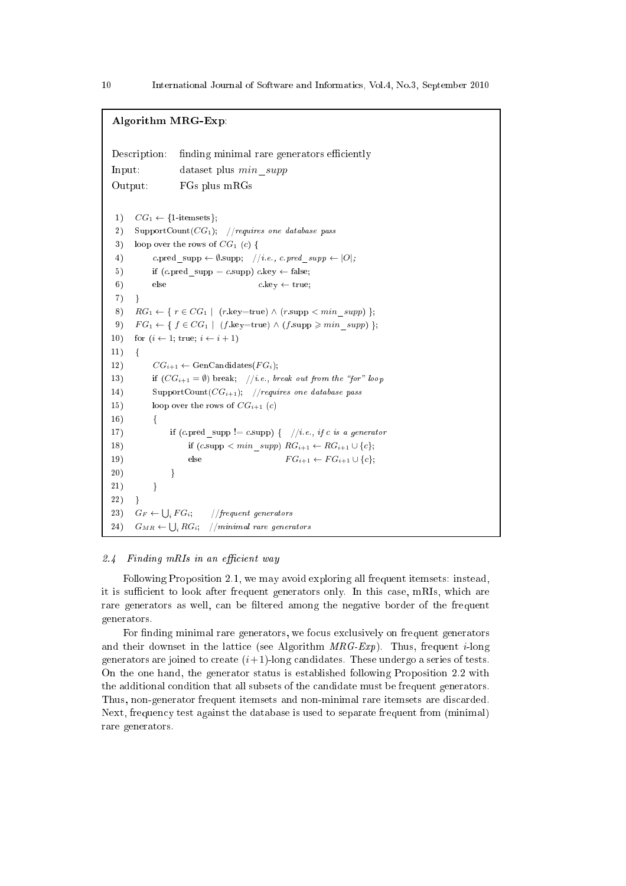International Journal of Software and Informati
s, Vol.4, No.3, September <sup>2010</sup>

Algorithm MRG-Exp:

```
Description: finding minimal rare generators efficiently
Input: dataset plus min supp
Output: FGs plus mRGs
       CG_1 \leftarrow \{1\text{-itemsets}\};1)2)SupportCount(CG_1); //requires one database pass
 3)loop over the rows of CG_1(c) {
            c.pred_supp ← Ø.supp; //i.e., c.pred_supp ← |O|;
 4)5)if (c.pred \text{supp} = c.\text{supp}) c.key \leftarrow false;
 6)else c.\text{key} \leftarrow \text{true};7)\mathbf{I} }
       RG_1 \leftarrow \{ r \in CG_1 \mid (r \text{.key} = \text{true}) \land (r \text{.supp} < min \ \text{.supp}) \};8)FG_1 \leftarrow \{ f \in CG_1 \mid (f \text{ key} = \text{true}) \land (f \text{ supp } \geqslant min \text{ supp}) \};9)\sim ,
       for (i \leftarrow 1; true; i \leftarrow i + 1)10)11) {
12)CG_{i+1} \leftarrow GenC andi \text{ dates}(FG_i);13)if (CG_{i+1} = \emptyset) break; //i.e., break out from the "for" loop
14)SupportCount(CG_{i+1}); //requires one database pass
15)loop over the rows of CG_{i+1} (c)
16) {
17)if (c.pred supp != c.supp) { //i.e., if c is a generator
18)if (c.\text{supp} < min \ \text{supp}) \ RG_{i+1} \leftarrow RG_{i+1} \cup \{c\};19)else FG_{i+1} \leftarrow FG_{i+1} \cup \{c\};20) }
21) }
22) }
23)// frequency generators
    G_F \leftarrow \bigcup24)G_{MR} \leftarrow \bigcup_{i} RG_i; \quad // minimal \; rare \; generators
```
### $2.4$  Finding mRIs in an efficient way

Following Proposition 2.1, we may avoid exploring all frequent itemsets: instead, it is sufficient to look after frequent generators only. In this case, mRIs, which are rare generators as well, can be filtered among the negative border of the frequent generators.

For finding minimal rare generators, we focus exclusively on frequent generators and their downset in the lattice (see Algorithm  $MRG-Exp$ ). Thus, frequent *i*-long generators are joined to create  $(i+1)$ -long candidates. These undergo a series of tests. On the one hand, the generator status is established following Proposition 2.2 with the additional ondition that all subsets of the andidate must be frequent generators. Thus, non-generator frequent itemsets and non-minimal rare itemsets are dis
arded. Next, frequency test against the database is used to separate frequent from (minimal) rare generators.

10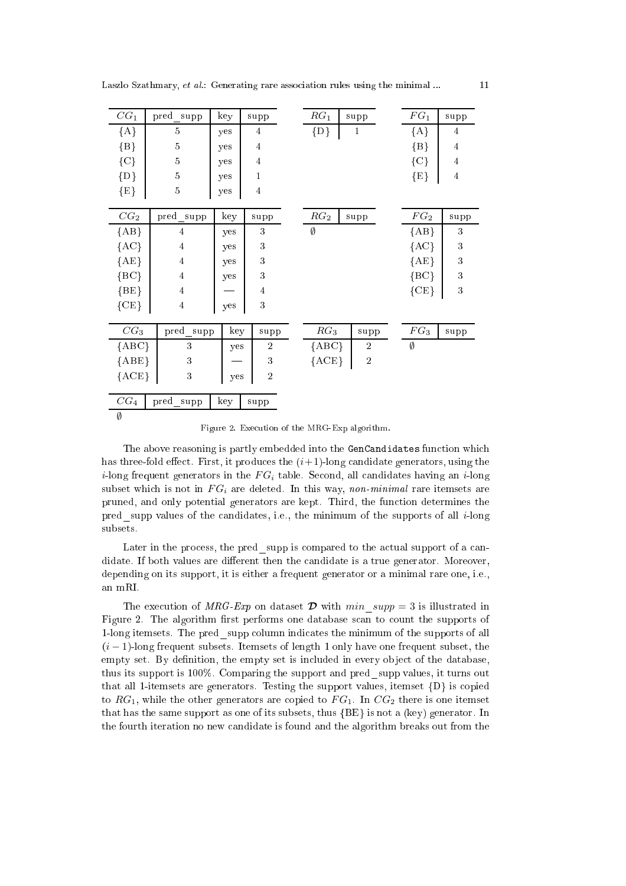| $CG_1$           | pred<br>supp                | key | supp           |  | $RG_1$          | supp           |  | $FG_1$          | supp           |
|------------------|-----------------------------|-----|----------------|--|-----------------|----------------|--|-----------------|----------------|
| ${A}$            | $\overline{5}$              | yes | $\overline{4}$ |  | $\{D\}$         | $\mathbf{1}$   |  | ${A}$           | $\overline{4}$ |
| ${B}$            | $\bf 5$                     | yes | 4              |  |                 |                |  | ${B}$           | 4              |
| ${C}$            | $\mathbf 5$                 | yes | $\overline{4}$ |  |                 |                |  | ${C}$           | 4              |
| $\{D\}$          | $\overline{5}$              | yes | $\mathbf{1}$   |  |                 |                |  | $\{E\}$         | 4              |
| $\{E\}$          | $\bf 5$                     | yes | 4              |  |                 |                |  |                 |                |
|                  |                             |     |                |  |                 |                |  |                 |                |
| CG <sub>2</sub>  | pred<br>supp                | key | supp           |  | RG <sub>2</sub> | supp           |  | FG <sub>2</sub> | supp           |
| ${AB}$           | $\overline{4}$              | yes | 3              |  | Ø               |                |  | ${AB}$          | 3              |
| ${AC}$           | $\overline{4}$              | yes | 3              |  |                 |                |  | ${AC}$          | 3              |
| ${AE}$           | $\overline{4}$              | yes | 3              |  |                 |                |  | ${AE}$          | 3              |
| ${BC}$           | $\overline{4}$              | yes | 3              |  |                 |                |  | ${BC}$          | 3              |
| ${BE}$           | 4                           |     | 4              |  |                 |                |  | ${CE}$          | 3              |
| ${CE}$           | $\overline{4}$              | yes | 3              |  |                 |                |  |                 |                |
|                  |                             |     |                |  |                 |                |  |                 |                |
| $CG_3$           | pred<br>supp                | key | supp           |  | RG <sub>3</sub> | supp           |  | $FG_3$          | supp           |
| ${ABC}$          | 3                           | yes | $\overline{2}$ |  | ${ABC}$         | $\overline{2}$ |  | Ø               |                |
| ${ABE}$          | 3                           |     | 3              |  | ${ACE}$         | $\overline{2}$ |  |                 |                |
| ${ACE}$<br>$\,3$ |                             | yes | $\overline{2}$ |  |                 |                |  |                 |                |
|                  |                             |     |                |  |                 |                |  |                 |                |
| CG <sub>4</sub>  | key<br>pred<br>supp<br>supp |     |                |  |                 |                |  |                 |                |
| Ø                |                             |     |                |  |                 |                |  |                 |                |

Figure 2. Execution of the MRG-Exp algorithm.

The above reasoning is partly embedded into the GenCandidates function which has three-fold effect. First, it produces the  $(i+1)$ -long candidate generators, using the *i*-long frequent generators in the  $FG_i$  table. Second, all candidates having an *i*-long subset which is not in  $FG_i$  are deleted. In this way, non-minimal rare itemsets are pruned, and only potential generators are kept. Third, the function determines the pred supp values of the candidates, i.e., the minimum of the supports of all  $i$ -long subsets.

Later in the process, the pred supp is compared to the actual support of a candidate. If both values are different then the candidate is a true generator. Moreover, depending on its support, it is either a frequent generator or a minimal rare one, i.e., an mRI.

The execution of MRG-Exp on dataset  $\mathcal D$  with  $min \, supp = 3$  is illustrated in Figure 2. The algorithm first performs one database scan to count the supports of 1-long itemsets. The pred\_supp olumn indi
ates the minimum of the supports of all  $(i-1)$ -long frequent subsets. Itemsets of length 1 only have one frequent subset, the empty set. By definition, the empty set is included in every object of the database, thus its support is 100%. Comparing the support and pred\_supp values, it turns out that all 1-itemsets are generators. Testing the support values, itemset  ${D}$  is copied to  $RG<sub>1</sub>$ , while the other generators are copied to  $FG<sub>1</sub>$ . In  $CG<sub>2</sub>$  there is one itemset that has the same support as one of its subsets, thus {BE} is not a (key) generator. In the fourth iteration no new andidate is found and the algorithm breaks out from the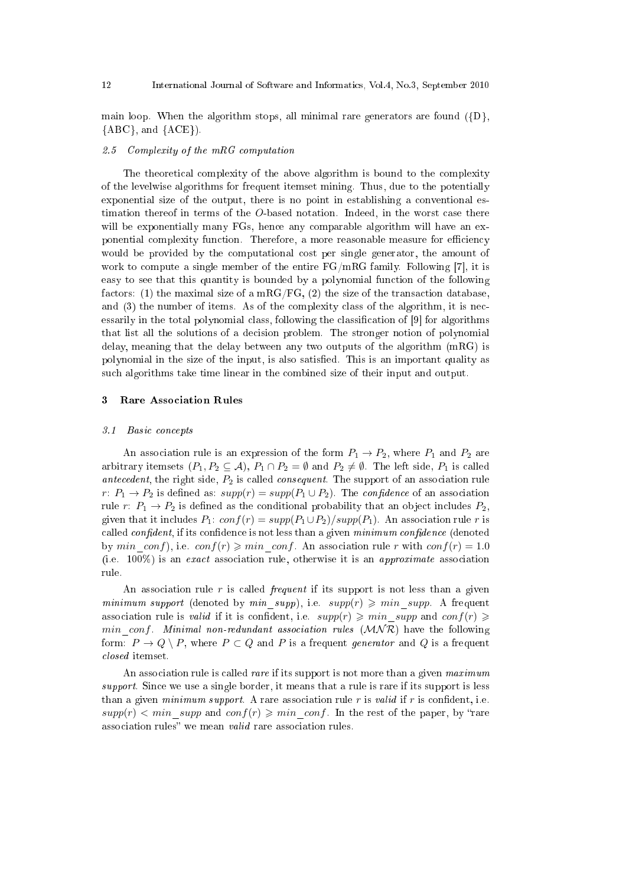#### 12International Journal of Software and Informati
s, Vol.4, No.3, September <sup>2010</sup>

main loop. When the algorithm stops, all minimal rare generators are found  $({D}$ ,  ${ABC}$ , and  ${ACE}$ ).

#### 2.5  $Complexity$  of the mRG computation

The theoreti
al omplexity of the above algorithm is bound to the omplexity of the levelwise algorithms for frequent itemset mining. Thus, due to the potentially exponential size of the output, there is no point in establishing a onventional estimation thereof in terms of the O-based notation. Indeed, in the worst case there will be exponentially many FGs, hence any comparable algorithm will have an exponential complexity function. Therefore, a more reasonable measure for efficiency would be provided by the computational cost per single generator, the amount of work to compute a single member of the entire  $FG/mRG$  family. Following [7], it is easy to see that this quantity is bounded by a polynomial fun
tion of the following factors: (1) the maximal size of a mRG/FG, (2) the size of the transaction database, and (3) the number of items. As of the complexity class of the algorithm, it is necessarily in the total polynomial class, following the classification of  $[9]$  for algorithms that list all the solutions of a de
ision problem. The stronger notion of polynomial delay, meaning that the delay between any two outputs of the algorithm (mRG) is polynomial in the size of the input, is also satised. This is an important quality as su
h algorithms take time linear in the ombined size of their input and output.

### 3 Rare Asso
iation Rules

### 3.1 Basic concepts

An association rule is an expression of the form  $P_1 \rightarrow P_2$ , where  $P_1$  and  $P_2$  are arbitrary itemsets  $(P_1, P_2 \subseteq \mathcal{A})$ ,  $P_1 \cap P_2 = \emptyset$  and  $P_2 \neq \emptyset$ . The left side,  $P_1$  is called antecedent, the right side,  $P_2$  is called *consequent*. The support of an association rule r:  $P_1 \rightarrow P_2$  is defined as:  $supp(r) = supp(P_1 \cup P_2)$ . The confidence of an association rule r:  $P_1 \rightarrow P_2$  is defined as the conditional probability that an object includes  $P_2$ , given that it includes  $P_1$ :  $conf(r) = supp(P_1 \cup P_2)/supp(P_1)$ . An association rule r is called *confident*, if its confidence is not less than a given  $minimum$  confidence (denoted by min conf), i.e.  $conf(r) \geqslant min \; conf.$  An association rule r with  $conf(r) = 1.0$  $(i.e. 100\%)$  is an *exact* association rule, otherwise it is an *approximate* association rule.

An association rule r is called *frequent* if its support is not less than a given minimum support (denoted by  $min\_supp$ ), i.e.  $supp(r) \geq min\_supp$ . A frequent association rule is valid if it is confident, i.e.  $supp(r) \geqslant min \, supp(\, n) \geqslant$ min conf. Minimal non-redundant association rules  $(MNR)$  have the following form:  $P \to Q \setminus P$ , where  $P \subset Q$  and P is a frequent generator and Q is a frequent losed itemset.

An association rule is called rare if its support is not more than a given maximum support. Since we use a single border, it means that a rule is rare if its support is less than a given *minimum support*. A rare association rule r is *valid* if r is confident, i.e.  $supp(r) < min \, supp \text{ and } conf(r) \geq min \, conf.$  In the rest of the paper, by "rare association rules" we mean *valid* rare association rules.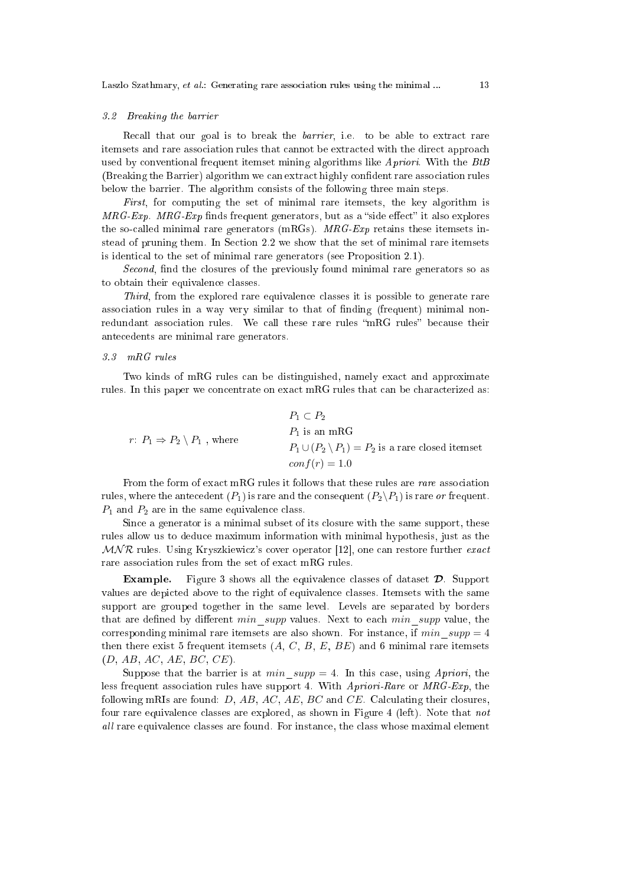Laszlo Szathmary, et al.: Generating rare asso
iation rules using the minimal ... <sup>13</sup>

### 3.2 Breaking the barrier

Recall that our goal is to break the *barrier*, i.e. to be able to extract rare itemsets and rare association rules that cannot be extracted with the direct approach used by conventional frequent itemset mining algorithms like Apriori. With the BtB (Breaking the Barrier) algorithm we an extra
t highly ondent rare asso
iation rules below the barrier. The algorithm onsists of the following three main steps.

First, for computing the set of minimal rare itemsets, the key algorithm is  $MRG-Exp$ .  $MRG-Exp$  finds frequent generators, but as a "side effect" it also explores the so-called minimal rare generators (mRGs).  $MRG$ -Exp retains these itemsets instead of pruning them. In Section 2.2 we show that the set of minimal rare itemsets is identi
al to the set of minimal rare generators (see Proposition 2.1).

Second, find the closures of the previously found minimal rare generators so as to obtain their equivalen
e lasses.

Third, from the explored rare equivalen
e lasses it is possible to generate rare association rules in a way very similar to that of finding (frequent) minimal nonredundant association rules. We call these rare rules "mRG rules" because their ante
edents are minimal rare generators.

### 3.3 mRG rules

Two kinds of mRG rules can be distinguished, namely exact and approximate rules. In this paper we concentrate on exact mRG rules that can be characterized as:

$$
P_1 \subset P_2
$$
\n
$$
r: P_1 \Rightarrow P_2 \setminus P_1 \text{ , where }
$$
\n
$$
P_1 \cup (P_2 \setminus P_1) = P_2 \text{ is a rare closed itemset}
$$
\n
$$
conf(r) = 1.0
$$

From the form of exact mRG rules it follows that these rules are *rare* association rules, where the antecedent  $(P_1)$  is rare and the consequent  $(P_2 \backslash P_1)$  is rare or frequent.  $P_1$  and  $P_2$  are in the same equivalence class.

Sin
e a generator is a minimal subset of its losure with the same support, these rules allow us to dedu
e maximum information with minimal hypothesis, just as the  $\mathcal{M} \mathcal{N} \mathcal{R}$  rules. Using Kryszkiewicz's cover operator [12], one can restore further exact rare association rules from the set of exact mRG rules.

**Example.** Figure 3 shows all the equivalence classes of dataset  $\mathcal{D}$ . Support values are depicted above to the right of equivalence classes. Itemsets with the same support are grouped together in the same level. Levels are separated by borders that are defined by different  $min$  supp values. Next to each  $min$  supp value, the corresponding minimal rare itemsets are also shown. For instance, if  $min \, supp = 4$ then there exist 5 frequent itemsets  $(A, C, B, E, BE)$  and 6 minimal rare itemsets  $(D, AB, AC, AE, BC, CE)$ .

Suppose that the barrier is at  $min \, supp = 4$ . In this case, using *Apriori*, the less frequent association rules have support 4. With Apriori-Rare or  $MRG$ -Exp, the following mRIs are found: D,  $AB$ ,  $AC$ ,  $AE$ ,  $BC$  and  $CE$ . Calculating their closures, four rare equivalence classes are explored, as shown in Figure 4 (left). Note that *not* all rare equivalence classes are found. For instance, the class whose maximal element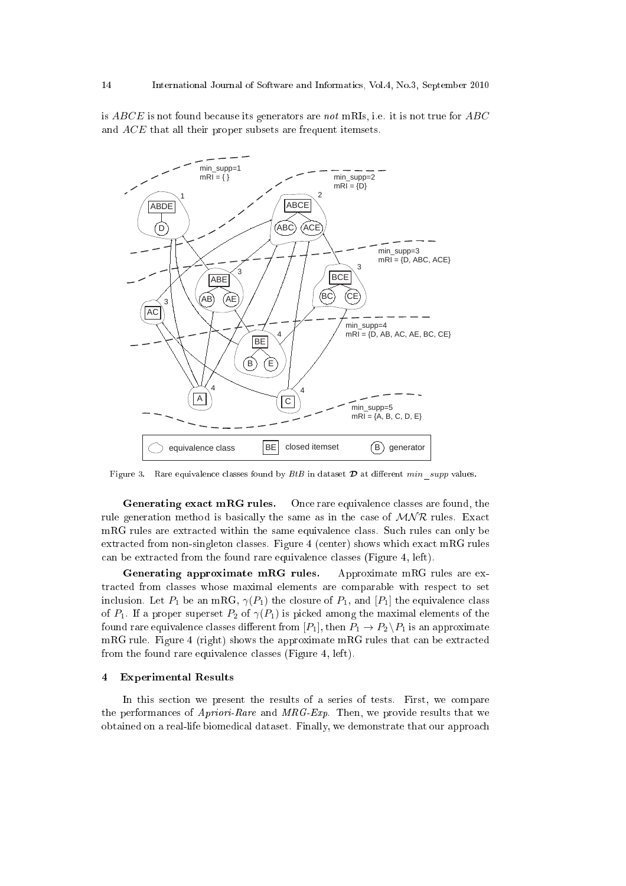is  $ABCE$  is not found because its generators are not mRIs, i.e. it is not true for  $ABC$ and ACE that all their proper subsets are frequent itemsets.



Figure 3. Rare equivalence classes found by  $BtB$  in dataset  $\mathcal D$  at different  $min\_supp$  values.

Generating exact mRG rules. Once rare equivalence classes are found, the rule generation method is basically the same as in the case of  $M\mathcal{NR}$  rules. Exact mRG rules are extracted within the same equivalence class. Such rules can only be extracted from non-singleton classes. Figure 4 (center) shows which exact mRG rules an be extra
ted from the found rare equivalen
e lasses (Figure 4, left).

Generating approximate mRG rules. Approximate mRG rules are extracted from classes whose maximal elements are comparable with respect to set inclusion. Let  $P_1$  be an mRG,  $\gamma(P_1)$  the closure of  $P_1$ , and  $[P_1]$  the equivalence class of  $P_1$ . If a proper superset  $P_2$  of  $\gamma(P_1)$  is picked among the maximal elements of the found rare equivalence classes different from  $[P_1]$ , then  $P_1 \to P_2 \backslash P_1$  is an approximate mRG rule. Figure 4 (right) shows the approximate mRG rules that can be extracted from the found rare equivalence classes (Figure 4, left).

### 4 Experimental Results

In this section we present the results of a series of tests. First, we compare the performan
es of Apriori-Rare and MRG-Exp. Then, we provide results that we obtained on a real-life biomedical dataset. Finally, we demonstrate that our approach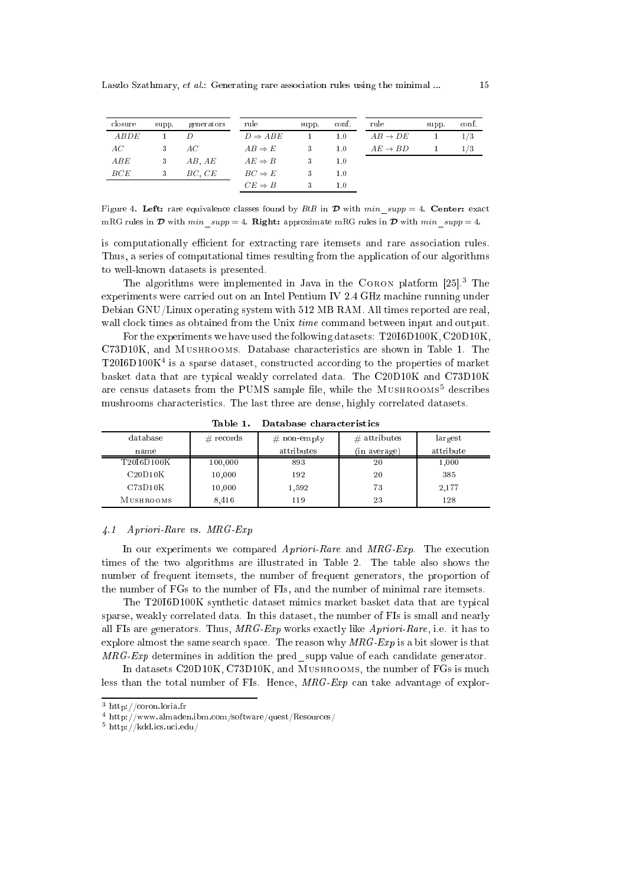| closure | supp.        | generators | rule                | supp.        | conf.   | rule                | supp. | conf. |
|---------|--------------|------------|---------------------|--------------|---------|---------------------|-------|-------|
| ABDE    |              |            | $D \Rightarrow ABE$ |              | 1.0     | $AB \rightarrow DE$ |       | 1/3   |
| AC      | $\mathbf{3}$ | AC         | $AB \Rightarrow E$  | $\mathbf{3}$ | $1.0\,$ | $AE \rightarrow BD$ |       | 1/3   |
| ABE     | 3            | AB. AE     | $AE \Rightarrow B$  |              | 1.0     |                     |       |       |
| BCE     | 3            | BC. CE     | $BC \Rightarrow E$  |              | 1.0     |                     |       |       |
|         |              |            | $CE \Rightarrow B$  |              | 1.0     |                     |       |       |

Figure 4. Left: rare equivalence classes found by BtB in  $\mathcal D$  with min\_supp = 4. Center: exact mRG rules in  $\mathcal D$  with min  $supp = 4$ . Right: approximate mRG rules in  $\mathcal D$  with min  $supp = 4$ .

is computationally efficient for extracting rare itemsets and rare association rules. Thus, a series of omputational times resulting from the appli
ation of our algorithms to well-known datasets is presented.

The algorithms were implemented in Java in the CORON platform  $[25]$ <sup>3</sup> The experiments were arried out on an Intel Pentium IV 2.4 GHz ma
hine running under Debian GNU/Linux operating system with 512 MB RAM. All times reported are real, wall clock times as obtained from the Unix *time* command between input and output.

For the experiments we have used the following datasets: T20I6D100K, C20D10K, C73D10K, and Mushrooms. Database hara
teristi
s are shown in Table 1. The  $T20I6D100K<sup>4</sup>$  is a sparse dataset, constructed according to the properties of market basket data that are typical weakly correlated data. The C20D10K and C73D10K are census datasets from the PUMS sample file, while the MUSHROOMS<sup>5</sup> describes mushrooms characteristics. The last three are dense, highly correlated datasets.

Table 1. Database characteristics

| database   | $#$ records | $#$ non-empty | $#$ attributes | largest   |  |
|------------|-------------|---------------|----------------|-----------|--|
| name       |             | attributes    | (in average)   | attribute |  |
| T2016D100K | 100,000     | 893           | 20             | 1,000     |  |
| C20D10K    | 10,000      | 192           | 20             | 385       |  |
| C73D10K    | 10,000      | 1.592         | 73             | 2,177     |  |
| MUSHROOMS  | 8.416       | 119           | 23             | 128       |  |

### 4.1 Apriori-Rare vs. MRG-Exp

In our experiments we compared *Apriori-Rare* and *MRG-Exp.* The execution times of the two algorithms are illustrated in Table 2. The table also shows the number of frequent itemsets, the number of frequent generators, the proportion of the number of FGs to the number of FIs, and the number of minimal rare itemsets.

The T20I6D100K synthetic dataset mimics market basket data that are typical sparse, weakly orrelated data. In this dataset, the number of FIs is small and nearly all FIs are generators. Thus,  $MRG$ -Exp works exactly like  $A priori$ -Rare, i.e. it has to explore almost the same search space. The reason why  $MRG$ -Exp is a bit slower is that  $MRG$ -Exp determines in addition the pred supp value of each candidate generator.

In datasets C20D10K, C73D10K, and MUSHROOMS, the number of FGs is much less than the total number of FIs. Hence,  $MRG$ -Exp can take advantage of explor-

<sup>3</sup> http://
oron.loria.fr

<sup>&</sup>lt;sup>4</sup> http://www.almaden.ibm.com/software/quest/Resources/

<sup>5</sup> http://kdd.i
s.u
i.edu/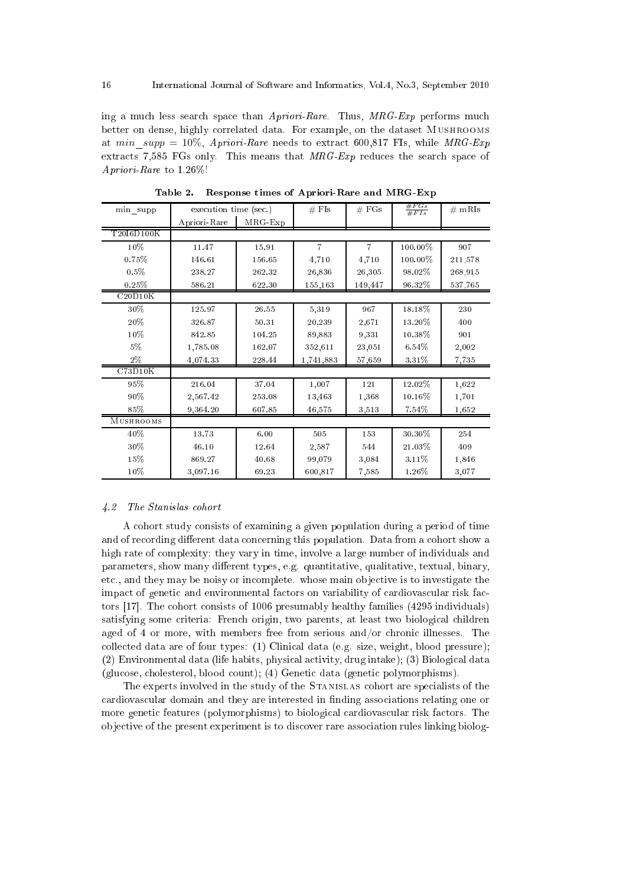ing a much less search space than Apriori-Rare. Thus, MRG-Exp performs much better on dense, highly orrelated data. For example, on the dataset Mushrooms at min supp =  $10\%$ , Apriori-Rare needs to extract 600,817 FIs, while MRG-Exp extracts 7,585 FGs only. This means that MRG-Exp reduces the search space of Apriori-Rare to 1.26%!

| min supp   | execution time (sec.) |            | $#$ FIs        | #FGs           | $#FGs$<br>#FIs | $#$ mRIs |
|------------|-----------------------|------------|----------------|----------------|----------------|----------|
|            | Apriori Rare          | $MRG$ -Exp |                |                |                |          |
| T2016D100K |                       |            |                |                |                |          |
| 10%        | 11.47                 | 15.91      | $\overline{7}$ | $\overline{7}$ | 100.00%        | 907      |
| 0.75%      | 146.61                | 156.65     | 4,710          | 4,710          | 100.00%        | 211,578  |
| $0.5\%$    | 238.27                | 262.32     | 26,836         | 26,305         | 98.02%         | 268,915  |
| 0.25%      | 586.21                | 622.30     | 155,163        | 149,447        | 96.32%         | 537,765  |
| C20D10K    |                       |            |                |                |                |          |
| 30%        | 125.97                | 26.55      | 5,319          | 967            | 18.18%         | 230      |
| 20%        | 326.87                | 50.31      | 20,239         | 2,671          | 13.20%         | 400      |
| 10%        | 842.85                | 104.25     | 89,883         | 9,331          | 10.38%         | 901      |
| $5\%$      | 1,785.08              | 162.07     | 352,611        | 23,051         | 6.54%          | 2,002    |
| $2\%$      | 4,074.33              | 228.44     | 1,741,883      | 57,659         | 3.31%          | 7,735    |
| C73D10K    |                       |            |                |                |                |          |
| 95%        | 216.04                | 37.04      | 1,007          | 121            | 12.02%         | 1,622    |
| 90%        | 2,567.42              | 253.08     | 13,463         | 1,368          | 10.16%         | 1,701    |
| 85%        | 9,364.20              | 607.85     | 46,575         | 3,513          | 7.54%          | 1,652    |
| MUSHROOMS  |                       |            |                |                |                |          |
| 40\%       | 13.73                 | 6.00       | 505            | 153            | 30.30%         | 254      |
| 30%        | 46.10                 | 12.64      | 2,587          | 544            | 21.03%         | 409      |
| 15%        | 869.27                | 40.68      | 99,079         | 3,084          | 3.11\%         | 1,846    |
| 10%        | 3,097.16              | 69.23      | 600,817        | 7,585          | 1.26%          | 3,077    |

Table 2. Response times of Apriori-Rare and MRG-Exp

### 4.2 The Stanislas ohort

A ohort study onsists of examining a given population during a period of time and of recording different data concerning this population. Data from a cohort show a high rate of complexity: they vary in time, involve a large number of individuals and parameters, show many different types, e.g. quantitative, qualitative, textual, binary, etc., and they may be noisy or incomplete. whose main objective is to investigate the impact of genetic and environmental factors on variability of cardiovascular risk factors  $[17]$ . The cohort consists of 1006 presumably healthy families  $(4295 \text{ individuals})$ satisfying some criteria: French origin, two parents, at least two biological children aged of 4 or more, with members free from serious and/or chronic illnesses. The olle
ted data are of four types: (1) Clini
al data (e.g. size, weight, blood pressure); (2) Environmental data (life habits, physi
al a
tivity, drug intake); (3) Biologi
al data (glu
ose, holesterol, blood ount); (4) Geneti data (geneti polymorphisms).

The experts involved in the study of the STANISLAS cohort are specialists of the ardiovas
ular domain and they are interested in nding asso
iations relating one or more genetic features (polymorphisms) to biological cardiovascular risk factors. The objective of the present experiment is to discover rare association rules linking biolog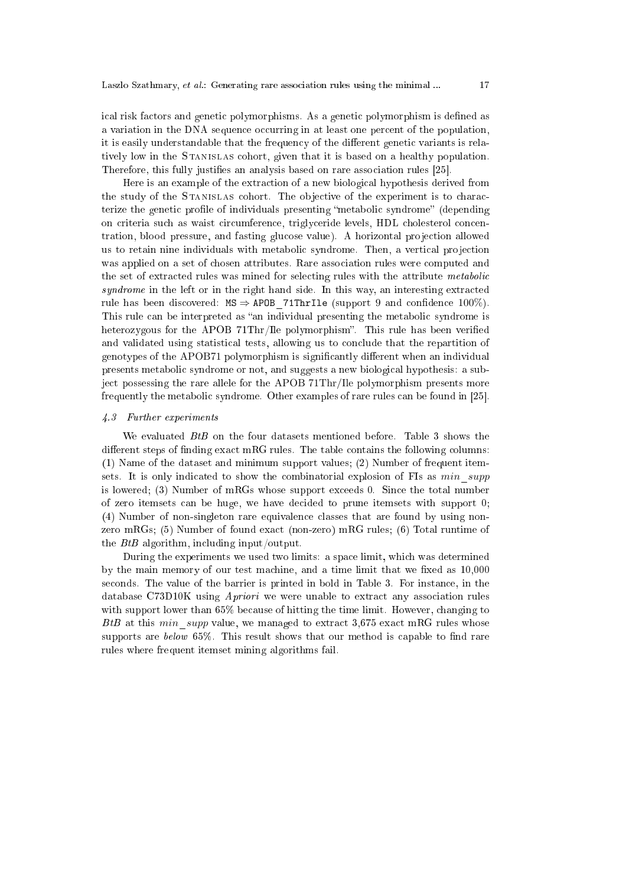ical risk factors and genetic polymorphisms. As a genetic polymorphism is defined as a variation in the DNA sequence occurring in at least one percent of the population, it is easily understandable that the frequency of the different genetic variants is relatively low in the Stanislas ohort, given that it is based on a healthy population. Therefore, this fully justifies an analysis based on rare association rules [25].

Here is an example of the extra
tion of a new biologi
al hypothesis derived from the study of the STANISLAS cohort. The objective of the experiment is to characterize the genetic profile of individuals presenting "metabolic syndrome" (depending on riteria su
h as waist ir
umferen
e, trigly
eride levels, HDL holesterol on
entration, blood pressure, and fasting glucose value). A horizontal projection allowed us to retain nine individuals with metabolic syndrome. Then, a vertical projection was applied on a set of chosen attributes. Rare association rules were computed and the set of extracted rules was mined for selecting rules with the attribute *metabolic* syndrome in the left or in the right hand side. In this way, an interesting extracted rule has been discovered:  $MS \Rightarrow APOB$  71ThrIle (support 9 and confidence 100%). This rule can be interpreted as "an individual presenting the metabolic syndrome is heterozygous for the APOB 71Thr/Ile polymorphism". This rule has been verified and validated using statistical tests, allowing us to conclude that the repartition of genotypes of the APOB71 polymorphism is significantly different when an individual presents metabolic syndrome or not, and suggests a new biological hypothesis: a subje
t possessing the rare allele for the APOB 71Thr/Ile polymorphism presents more frequently the metabolic syndrome. Other examples of rare rules can be found in [25].

### 4.3 Further experiments

We evaluated *BtB* on the four datasets mentioned before. Table 3 shows the different steps of finding exact mRG rules. The table contains the following columns: (1) Name of the dataset and minimum support values; (2) Number of frequent itemsets. It is only indicated to show the combinatorial explosion of FIs as  $min$  supp is lowered; (3) Number of mRGs whose support ex
eeds 0. Sin
e the total number of zero itemsets an be huge, we have de
ided to prune itemsets with support 0; (4) Number of non-singleton rare equivalen
e lasses that are found by using nonzero mRGs; (5) Number of found exa
t (non-zero) mRG rules; (6) Total runtime of the  $BtB$  algorithm, including input/output.

During the experiments we used two limits: a spa
e limit, whi
h was determined by the main memory of our test machine, and a time limit that we fixed as  $10,000$ se
onds. The value of the barrier is printed in bold in Table 3. For instan
e, in the database C73D10K using *Apriori* we were unable to extract any association rules with support lower than 65% because of hitting the time limit. However, changing to  $BtB$  at this min supp value, we managed to extract 3,675 exact mRG rules whose supports are *below*  $65\%$ . This result shows that our method is capable to find rare rules where frequent itemset mining algorithms fail.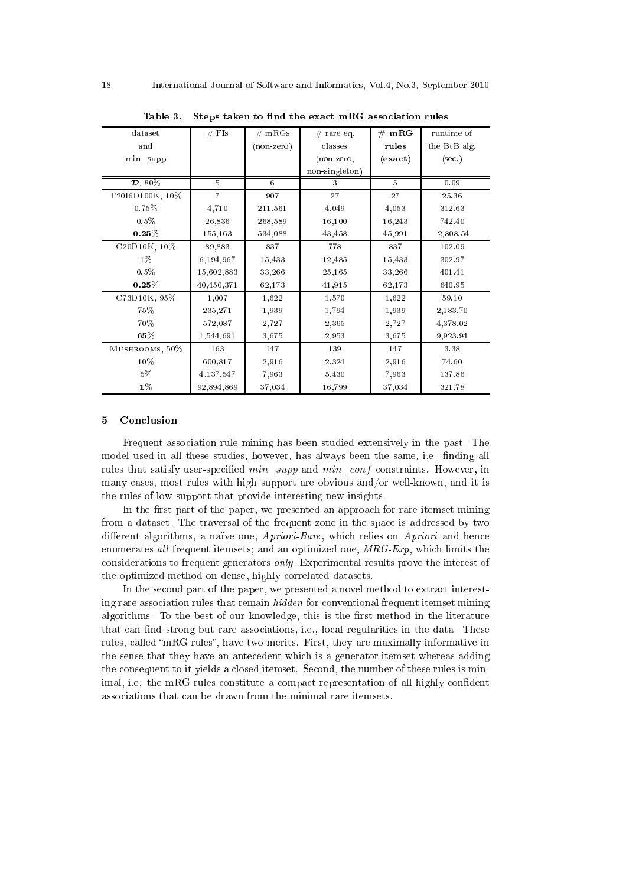| dataset         | $#$ FIs        | $#$ mRGs     | $#$ rare eq.   | $\# \; \text{mRG}$ | runtime of   |
|-----------------|----------------|--------------|----------------|--------------------|--------------|
| and             |                | $(non-zero)$ | classes        | rules              | the BtB alg. |
| min supp        |                |              | (non-zero,     | (exact)            | (sec.)       |
|                 |                |              | non-singleton) |                    |              |
| $D$ , 80%       | 5              | 6            | 3              | $5\overline{a}$    | 0.09         |
| T20I6D100K, 10% | $\overline{7}$ | 907          | 27             | 27                 | 25.36        |
| 0.75%           | 4,710          | 211,561      | 4,049          | 4,053              | 312.63       |
| 0.5%            | 26,836         | 268,589      | 16,100         | 16,243             | 742.40       |
| $0.25\%$        | 155,163        | 534,088      | 43,458         | 45,991             | 2,808.54     |
| C20D10K, 10%    | 89,883         | 837          | 778            | 837                | 102.09       |
| $1\%$           | 6,194,967      | 15,433       | 12,485         | 15,433             | 302.97       |
| 0.5%            | 15,602,883     | 33,266       | 25,165         | 33,266             | 401.41       |
| $0.25\%$        | 40,450,371     | 62,173       | 41,915         | 62,173             | 640.95       |
| C73D10K, 95%    | 1,007          | 1,622        | 1,570          | 1,622              | 59.10        |
| 75%             | 235,271        | 1.939        | 1,794          | 1,939              | 2,183.70     |
| 70%             | 572,087        | 2,727        | 2,365          | 2,727              | 4,378.02     |
| $\mathbf{65}\%$ | 1,544,691      | 3,675        | 2,953          | 3,675              | 9,923.94     |
| MUSHROOMS, 50%  | 163            | 147          | 139            | 147                | 3.38         |
| 10%             | 600,817        | 2,916        | 2,324          | 2,916              | 74.60        |
| $5\%$           | 4,137,547      | 7,963        | 5,430          | 7,963              | 137.86       |
| $1\%$           | 92,894,869     | 37,034       | 16,799         | 37,034             | 321.78       |

Table 3. Steps taken to find the exact mRG association rules

### 5 Con
lusion

Frequent asso
iation rule mining has been studied extensively in the past. The model used in all these studies, however, has always been the same, i.e. finding all rules that satisfy user-specified min supp and min conf constraints. However, in many ases, most rules with high support are obvious and/or well-known, and it is the rules of low support that provide interesting new insights.

In the first part of the paper, we presented an approach for rare itemset mining from a dataset. The traversal of the frequent zone in the spa
e is addressed by two different algorithms, a naïve one,  $A priori-Rare$ , which relies on  $A priori$  and hence enumerates all frequent itemsets; and an optimized one,  $MRG$ -Exp, which limits the onsiderations to frequent generators only. Experimental results prove the interest of the optimized method on dense, highly orrelated datasets.

In the second part of the paper, we presented a novel method to extract interesting rare association rules that remain *hidden* for conventional frequent itemset mining algorithms. To the best of our knowledge, this is the first method in the literature that can find strong but rare associations, i.e., local regularities in the data. These rules, called "mRG rules", have two merits. First, they are maximally informative in the sense that they have an ante
edent whi
h is a generator itemset whereas adding the consequent to it yields a closed itemset. Second, the number of these rules is minimal, i.e. the mRG rules constitute a compact representation of all highly confident asso
iations that an be drawn from the minimal rare itemsets.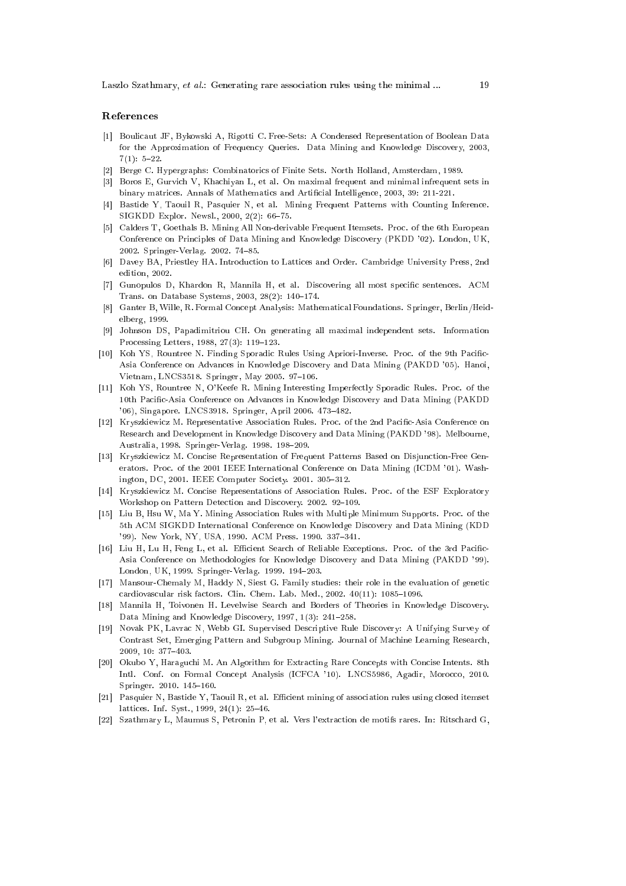### Referen
es

- [1] Boulicaut JF, Bykowski A, Rigotti C. Free-Sets: A Condensed Representation of Boolean Data for the Approximation of Frequency Queries. Data Mining and Knowledge Discovery, 2003, 7(1): 522.
- Berge C. Hypergraphs: Combinatorics of Finite Sets. North Holland, Amsterdam, 1989.
- $[3]$ Boros E, Gurvich V, Khachiyan L, et al. On maximal frequent and minimal infrequent sets in binary matrices. Annals of Mathematics and Artificial Intelligence, 2003, 39: 211-221.
- $[4]$ Bastide Y, Taouil R, Pasquier N, et al. Mining Frequent Patterns with Counting Inference. SIGKDD Explor. Newsl., 2000, 2(2): 66-75.
- [5] Calders T, Goethals B. Mining All Non-derivable Frequent Itemsets. Proc. of the 6th European Conference on Principles of Data Mining and Knowledge Discovery (PKDD '02). London, UK, 2002. Springer-Verlag. 2002. 74-85.
- [6] Davey BA, Priestley HA. Introduction to Lattices and Order. Cambridge University Press, 2nd edition. 2002. edition, 2002. The contract of the contract of the contract of the contract of the contract of the contract of
- [7] Gunopulos D, Khardon R, Mannila H, et al. Discovering all most specific sentences. ACM Trans. on Database Systems,  $2003, 28(2): 140-174$ .
- [8] Ganter B, Wille, R. Formal Concept Analysis: Mathematical Foundations. Springer, Berlin/Heidelberg, 1999.
- [9] Johnson DS, Papadimitriou CH. On generating all maximal independent sets. Information Processing Letters, 1988, 27(3): 119-123.
- [10] Koh YS, Rountree N. Finding Sporadic Rules Using Apriori-Inverse. Proc. of the 9th Pacific-Asia Conferen
e on Advan
es in Knowledge Dis
overy and Data Mining (PAKDD '05). Hanoi, Vietnam, LNCS3518. Springer, May 2005. 97-106.
- [11] Koh YS, Rountree N, O'Keefe R. Mining Interesting Imperfectly Sporadic Rules. Proc. of the 10th Pacific-Asia Conference on Advances in Knowledge Discovery and Data Mining (PAKDD '06), Singapore. LNCS3918. Springer. April 2006. 473-482.
- [12] Kryszkiewicz M. Representative Association Rules. Proc. of the 2nd Pacific-Asia Conference on Resear
h and Development in Knowledge Dis
overy and Data Mining (PAKDD '98). Melbourne, Australia, 1998. Springer-Verlag. 1998. 198-209.
- [13] Kryszkiewicz M. Concise Representation of Frequent Patterns Based on Disjunction-Free Generators. Proc. of the 2001 IEEE International Conference on Data Mining (ICDM '01). Washington, DC, 2001. IEEE Computer Society. 2001. 305-312.
- [14] Kryszkiewicz M. Concise Representations of Association Rules. Proc. of the ESF Exploratory Workshop on Pattern Detection and Discovery. 2002. 92-109.
- [15] Liu B, Hsu W, Ma Y. Mining Association Rules with Multiple Minimum Supports. Proc. of the 5th ACM SIGKDD International Conferen
e on Knowledge Dis
overy and Data Mining (KDD '99). New York, NY, USA, 1990. ACM Press. 1990. 337-341.
- [16] Liu H, Lu H, Feng L, et al. Efficient Search of Reliable Exceptions. Proc. of the 3rd Pacific-Asia Conferen
e on Methodologies for Knowledge Dis
overy and Data Mining (PAKDD '99). London, UK, 1999. Springer-Verlag. 1999. 194-203.
- [17] Mansour-Chemaly M, Haddy N, Siest G. Family studies: their role in the evaluation of genetic cardiovascular risk factors. Clin. Chem. Lab. Med., 2002.  $40(11)$ : 1085-1096.
- [18] Mannila H, Toivonen H. Levelwise Search and Borders of Theories in Knowledge Discovery. Data Mining and Knowledge Discovery, 1997, 1(3): 241-258.
- [19] Novak PK, Lavrac N, Webb GI. Supervised Descriptive Rule Discovery: A Unifying Survey of Contrast Set, Emerging Pattern and Subgroup Mining. Journal of Machine Learning Research, 2009, 10: 377403.
- [20] Okubo Y, Haraguchi M. An Algorithm for Extracting Rare Concepts with Concise Intents. 8th Intl. Conf. on Formal Concept Analysis (ICFCA '10). LNCS5986, Agadir, Morocco, 2010. Springer. 2010. 145-160.
- [21] Pasquier N, Bastide Y, Taouil R, et al. Efficient mining of association rules using closed itemset lattices. Inf. Syst., 1999, 24(1): 25-46.
- [22] Szathmary L, Maumus S, Petronin P, et al. Vers l'extraction de motifs rares. In: Ritschard G,